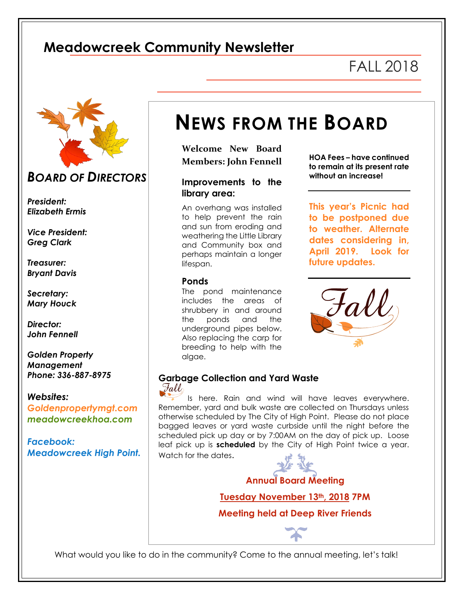## **Meadowcreek Community Newsletter**

l

# FALL 2018



## *BOARD OF DIRECTORS*

*President: Elizabeth Ermis*

*Vice President: Greg Clark*

*Treasurer: Bryant Davis*

*Secretary: Mary Houck*

*Director: John Fennell*

*Golden Property Management Phone: 336-887-8975*

*Websites: Goldenpropertymgt.com meadowcreekhoa.com*

*Facebook: Meadowcreek High Point.* 

# **NEWS FROM THE BOARD**

**Welcome New Board Members: John Fennell** 

### **Improvements to the library area:**

An overhang was installed to help prevent the rain and sun from eroding and weathering the Little Library and Community box and perhaps maintain a longer lifespan.

#### **Ponds**

The pond maintenance includes the areas of shrubbery in and around the ponds and the underground pipes below. Also replacing the carp for breeding to help with the algae.

**HOA Fees – have continued to remain at its present rate without an increase!**

**This year's Picnic had to be postponed due to weather. Alternate dates considering in, April 2019. Look for future updates.**



# **Garbage Collection and Yard Waste**

Is here. Rain and wind will have leaves everywhere. Remember, yard and bulk waste are collected on Thursdays unless otherwise scheduled by The City of High Point. Please do not place bagged leaves or yard waste curbside until the night before the scheduled pick up day or by 7:00AM on the day of pick up. Loose leaf pick up is **scheduled** by the City of High Point twice a year. Watch for the dates.



**Annual Board Meeting**

**Tuesday November 13th, 2018 7PM**

**Meeting held at Deep River Friends**

What would you like to do in the community? Come to the annual meeting, let's talk!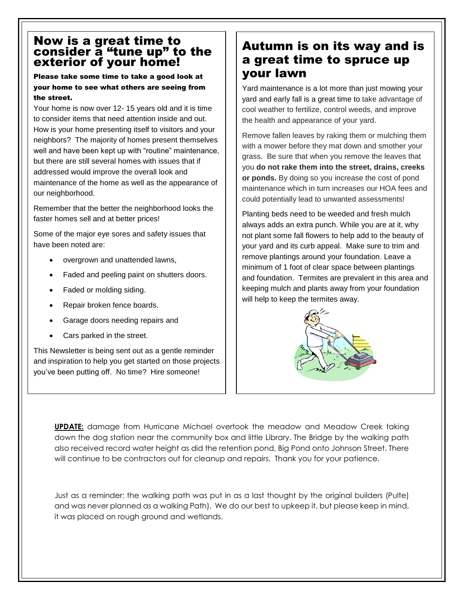## Now is a great time to consider a "tune up" to the exterior of your home!

#### Please take some time to take a good look at your home to see what others are seeing from the street.

Your home is now over 12- 15 years old and it is time to consider items that need attention inside and out. How is your home presenting itself to visitors and your neighbors? The majority of homes present themselves well and have been kept up with "routine" maintenance, but there are still several homes with issues that if addressed would improve the overall look and maintenance of the home as well as the appearance of our neighborhood.

Remember that the better the neighborhood looks the faster homes sell and at better prices!

Some of the major eye sores and safety issues that have been noted are:

- overgrown and unattended lawns,
- Faded and peeling paint on shutters doors.
- Faded or molding siding.
- Repair broken fence boards.
- Garage doors needing repairs and
- Cars parked in the street.

This Newsletter is being sent out as a gentle reminder and inspiration to help you get started on those projects you've been putting off. No time? Hire someone!

## Autumn is on its way and is a great time to spruce up your lawn

Yard maintenance is a lot more than just mowing your yard and early fall is a great time to take advantage of cool weather to fertilize, control weeds, and improve the health and appearance of your yard.

Remove fallen leaves by raking them or mulching them with a mower before they mat down and smother your grass. Be sure that when you remove the leaves that you **do not rake them into the street, drains, creeks or ponds.** By doing so you increase the cost of pond maintenance which in turn increases our HOA fees and could potentially lead to unwanted assessments!

Planting beds need to be weeded and fresh mulch always adds an extra punch. While you are at it, why not plant some fall flowers to help add to the beauty of your yard and its curb appeal. Make sure to trim and remove plantings around your foundation. Leave a minimum of 1 foot of clear space between plantings and foundation. Termites are prevalent in this area and keeping mulch and plants away from your foundation will help to keep the termites away.



**UPDATE:** damage from Hurricane Michael overtook the meadow and Meadow Creek taking down the dog station near the community box and little Library. The Bridge by the walking path also received record water height as did the retention pond, Big Pond onto Johnson Street. There will continue to be contractors out for cleanup and repairs. Thank you for your patience.

Just as a reminder: the walking path was put in as a last thought by the original builders (Pulte) and was never planned as a walking Path). We do our best to upkeep it, but please keep in mind, it was placed on rough ground and wetlands.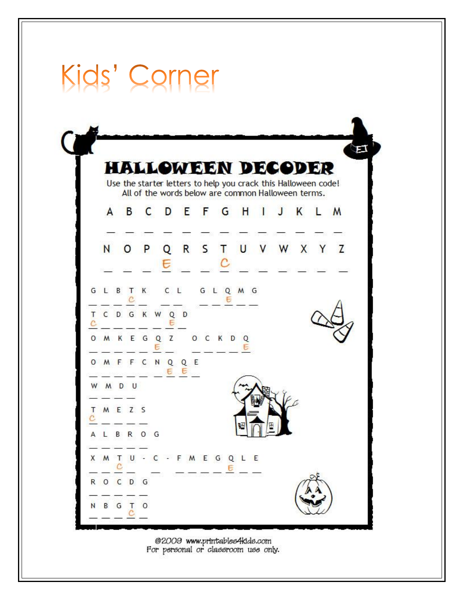|   |             |              |         |           |               |                                                                                                                      |  |   |            |  |   |              |   | EJ |  |
|---|-------------|--------------|---------|-----------|---------------|----------------------------------------------------------------------------------------------------------------------|--|---|------------|--|---|--------------|---|----|--|
|   |             |              |         |           |               | <b>HALLOWEEN DECODER</b>                                                                                             |  |   |            |  |   |              |   |    |  |
|   |             |              |         |           |               | Use the starter letters to help you crack this Halloween code!<br>All of the words below are common Halloween terms. |  |   |            |  |   |              |   |    |  |
|   |             | A            | B       |           |               | C D E F G H I J                                                                                                      |  |   |            |  | K | $\mathbb{L}$ | M |    |  |
|   |             |              |         |           |               |                                                                                                                      |  |   |            |  |   |              |   |    |  |
|   | N           |              | $\circ$ | P         | Е             | Q R S T U V W X Y Z                                                                                                  |  |   |            |  |   |              |   |    |  |
|   |             |              |         |           |               |                                                                                                                      |  |   |            |  |   |              |   |    |  |
|   | GLBTK CL    |              |         |           |               |                                                                                                                      |  | E | G L Q M G  |  |   |              |   |    |  |
|   |             |              |         |           | C D G K W Q D |                                                                                                                      |  |   |            |  |   |              |   |    |  |
|   |             |              |         |           |               | O M K E G Q Z O C K D Q                                                                                              |  |   |            |  |   |              |   |    |  |
|   |             |              |         |           |               | O M F F C N Q Q E<br>$E$ $E$                                                                                         |  |   |            |  |   |              |   |    |  |
|   | W M D U     |              |         |           |               |                                                                                                                      |  |   |            |  |   |              |   |    |  |
| т | MEZS        |              |         |           |               |                                                                                                                      |  |   |            |  |   |              |   |    |  |
|   | A L B R O G |              |         |           |               |                                                                                                                      |  |   |            |  |   |              |   |    |  |
|   |             |              |         |           |               | X M T U - C - F M E G Q L E                                                                                          |  |   |            |  |   |              |   |    |  |
|   | ROCDG       | $\mathbf{C}$ |         |           |               |                                                                                                                      |  |   | $- -  6 -$ |  |   |              |   |    |  |
|   |             |              |         | N B G T O |               |                                                                                                                      |  |   |            |  |   |              |   |    |  |